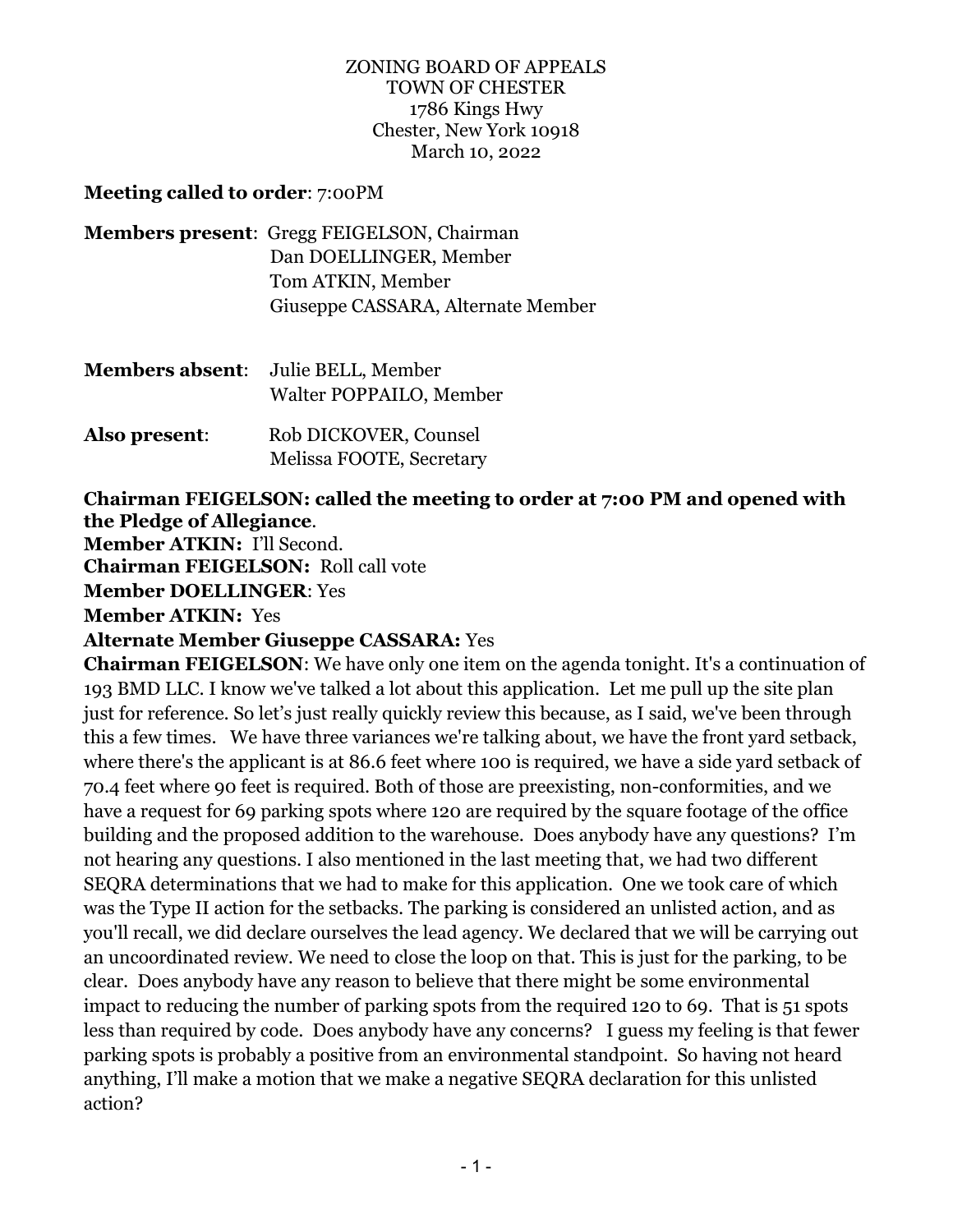### **Meeting called to order**: 7:00PM

**Members present**: Gregg FEIGELSON, Chairman Dan DOELLINGER, Member Tom ATKIN, Member Giuseppe CASSARA, Alternate Member

- **Members absent**: Julie BELL, Member Walter POPPAILO, Member
- Also present: Rob DICKOVER, Counsel Melissa FOOTE, Secretary

### **Chairman FEIGELSON: called the meeting to order at 7:00 PM and opened with the Pledge of Allegiance**.

**Member ATKIN:** I'll Second. **Chairman FEIGELSON:** Roll call vote

**Member DOELLINGER**: Yes

**Member ATKIN:** Yes

# **Alternate Member Giuseppe CASSARA:** Yes

**Chairman FEIGELSON**: We have only one item on the agenda tonight. It's a continuation of 193 BMD LLC. I know we've talked a lot about this application. Let me pull up the site plan just for reference. So let's just really quickly review this because, as I said, we've been through this a few times. We have three variances we're talking about, we have the front yard setback, where there's the applicant is at 86.6 feet where 100 is required, we have a side yard setback of 70.4 feet where 90 feet is required. Both of those are preexisting, non-conformities, and we have a request for 69 parking spots where 120 are required by the square footage of the office building and the proposed addition to the warehouse. Does anybody have any questions? I'm not hearing any questions. I also mentioned in the last meeting that, we had two different SEQRA determinations that we had to make for this application. One we took care of which was the Type II action for the setbacks. The parking is considered an unlisted action, and as you'll recall, we did declare ourselves the lead agency. We declared that we will be carrying out an uncoordinated review. We need to close the loop on that. This is just for the parking, to be clear. Does anybody have any reason to believe that there might be some environmental impact to reducing the number of parking spots from the required 120 to 69. That is 51 spots less than required by code. Does anybody have any concerns? I guess my feeling is that fewer parking spots is probably a positive from an environmental standpoint. So having not heard anything, I'll make a motion that we make a negative SEQRA declaration for this unlisted action?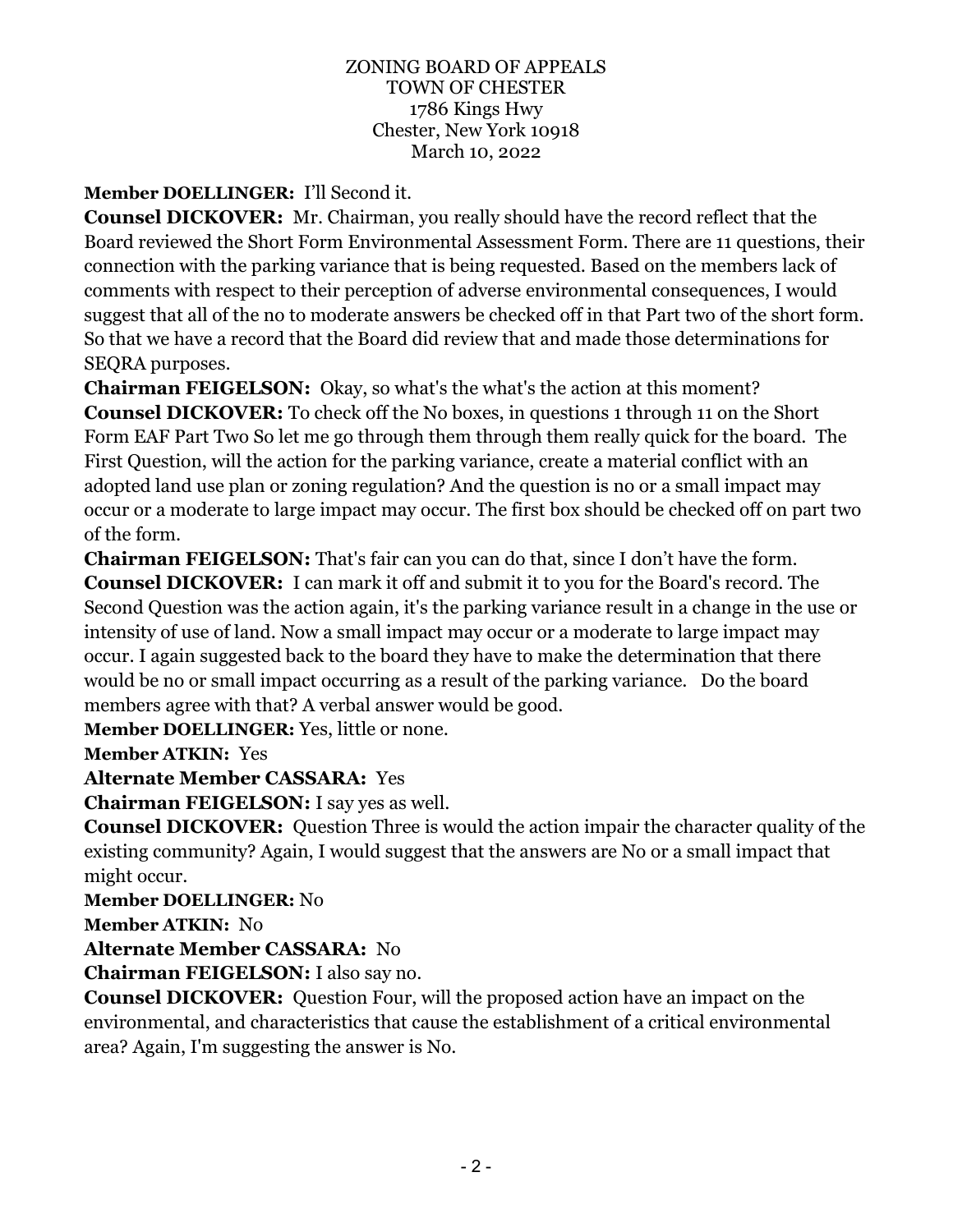### **Member DOELLINGER:** I'll Second it.

**Counsel DICKOVER:** Mr. Chairman, you really should have the record reflect that the Board reviewed the Short Form Environmental Assessment Form. There are 11 questions, their connection with the parking variance that is being requested. Based on the members lack of comments with respect to their perception of adverse environmental consequences, I would suggest that all of the no to moderate answers be checked off in that Part two of the short form. So that we have a record that the Board did review that and made those determinations for SEQRA purposes.

**Chairman FEIGELSON:** Okay, so what's the what's the action at this moment? **Counsel DICKOVER:** To check off the No boxes, in questions 1 through 11 on the Short Form EAF Part Two So let me go through them through them really quick for the board. The First Question, will the action for the parking variance, create a material conflict with an adopted land use plan or zoning regulation? And the question is no or a small impact may occur or a moderate to large impact may occur. The first box should be checked off on part two of the form.

**Chairman FEIGELSON:** That's fair can you can do that, since I don't have the form. **Counsel DICKOVER:** I can mark it off and submit it to you for the Board's record. The Second Question was the action again, it's the parking variance result in a change in the use or intensity of use of land. Now a small impact may occur or a moderate to large impact may occur. I again suggested back to the board they have to make the determination that there would be no or small impact occurring as a result of the parking variance. Do the board members agree with that? A verbal answer would be good.

**Member DOELLINGER:** Yes, little or none.

**Member ATKIN:** Yes

**Alternate Member CASSARA:** Yes

**Chairman FEIGELSON:** I say yes as well.

**Counsel DICKOVER:** Ouestion Three is would the action impair the character quality of the existing community? Again, I would suggest that the answers are No or a small impact that might occur.

**Member DOELLINGER:** No

**Member ATKIN:** No

**Alternate Member CASSARA:** No

**Chairman FEIGELSON:** I also say no.

**Counsel DICKOVER:** Question Four, will the proposed action have an impact on the environmental, and characteristics that cause the establishment of a critical environmental area? Again, I'm suggesting the answer is No.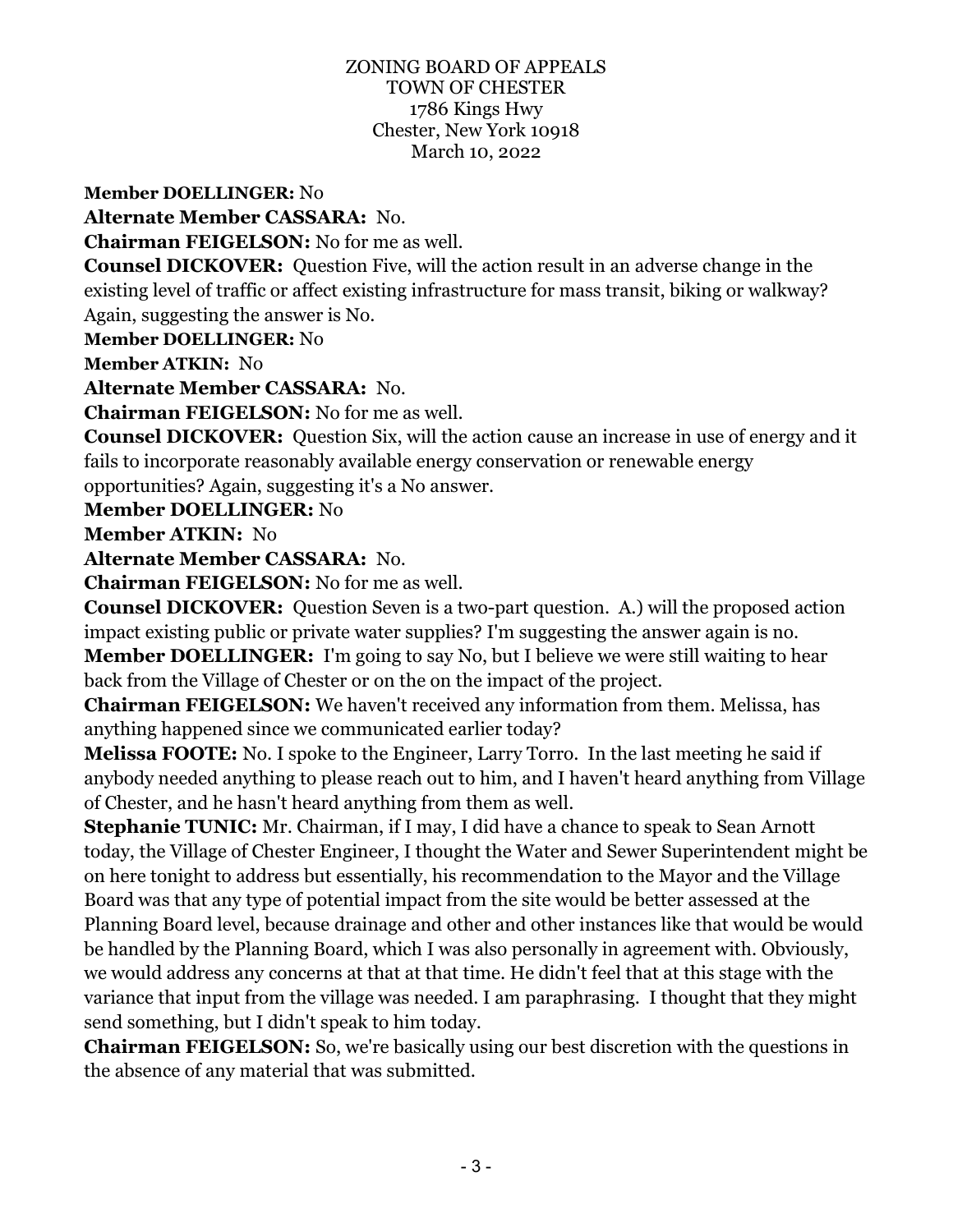**Member DOELLINGER:** No

**Alternate Member CASSARA:** No.

**Chairman FEIGELSON:** No for me as well.

**Counsel DICKOVER:** Ouestion Five, will the action result in an adverse change in the existing level of traffic or affect existing infrastructure for mass transit, biking or walkway? Again, suggesting the answer is No.

**Member DOELLINGER:** No

**Member ATKIN:** No

**Alternate Member CASSARA:** No.

**Chairman FEIGELSON:** No for me as well.

**Counsel DICKOVER:** Question Six, will the action cause an increase in use of energy and it fails to incorporate reasonably available energy conservation or renewable energy opportunities? Again, suggesting it's a No answer.

**Member DOELLINGER:** No

**Member ATKIN:** No

**Alternate Member CASSARA:** No.

**Chairman FEIGELSON:** No for me as well.

**Counsel DICKOVER:** Question Seven is a two-part question. A.) will the proposed action impact existing public or private water supplies? I'm suggesting the answer again is no. **Member DOELLINGER:** I'm going to say No, but I believe we were still waiting to hear back from the Village of Chester or on the on the impact of the project.

**Chairman FEIGELSON:** We haven't received any information from them. Melissa, has anything happened since we communicated earlier today?

**Melissa FOOTE:** No. I spoke to the Engineer, Larry Torro. In the last meeting he said if anybody needed anything to please reach out to him, and I haven't heard anything from Village of Chester, and he hasn't heard anything from them as well.

**Stephanie TUNIC:** Mr. Chairman, if I may, I did have a chance to speak to Sean Arnott today, the Village of Chester Engineer, I thought the Water and Sewer Superintendent might be on here tonight to address but essentially, his recommendation to the Mayor and the Village Board was that any type of potential impact from the site would be better assessed at the Planning Board level, because drainage and other and other instances like that would be would be handled by the Planning Board, which I was also personally in agreement with. Obviously, we would address any concerns at that at that time. He didn't feel that at this stage with the variance that input from the village was needed. I am paraphrasing. I thought that they might send something, but I didn't speak to him today.

**Chairman FEIGELSON:** So, we're basically using our best discretion with the questions in the absence of any material that was submitted.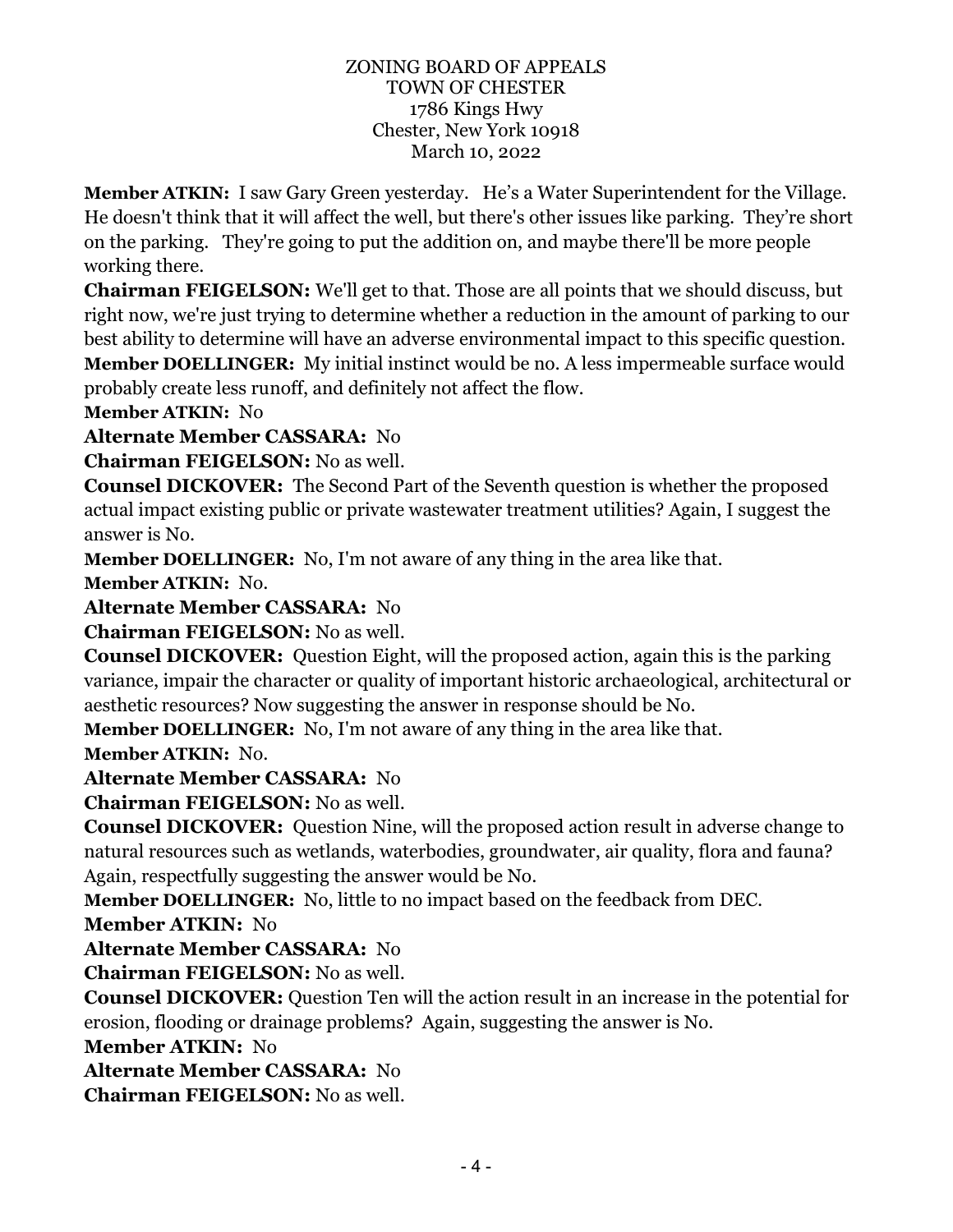**Member ATKIN:** I saw Gary Green yesterday. He's a Water Superintendent for the Village. He doesn't think that it will affect the well, but there's other issues like parking. They're short on the parking. They're going to put the addition on, and maybe there'll be more people working there.

**Chairman FEIGELSON:** We'll get to that. Those are all points that we should discuss, but right now, we're just trying to determine whether a reduction in the amount of parking to our best ability to determine will have an adverse environmental impact to this specific question. **Member DOELLINGER:** My initial instinct would be no. A less impermeable surface would probably create less runoff, and definitely not affect the flow.

**Member ATKIN:** No

**Alternate Member CASSARA:** No

**Chairman FEIGELSON:** No as well.

**Counsel DICKOVER:** The Second Part of the Seventh question is whether the proposed actual impact existing public or private wastewater treatment utilities? Again, I suggest the answer is No.

**Member DOELLINGER:** No, I'm not aware of any thing in the area like that.

**Member ATKIN:** No.

**Alternate Member CASSARA:** No

**Chairman FEIGELSON:** No as well.

**Counsel DICKOVER:** Question Eight, will the proposed action, again this is the parking variance, impair the character or quality of important historic archaeological, architectural or aesthetic resources? Now suggesting the answer in response should be No.

**Member DOELLINGER:** No, I'm not aware of any thing in the area like that.

**Member ATKIN:** No.

**Alternate Member CASSARA:** No

**Chairman FEIGELSON:** No as well.

**Counsel DICKOVER:** Ouestion Nine, will the proposed action result in adverse change to natural resources such as wetlands, waterbodies, groundwater, air quality, flora and fauna? Again, respectfully suggesting the answer would be No.

**Member DOELLINGER:** No, little to no impact based on the feedback from DEC.

**Member ATKIN:** No

**Alternate Member CASSARA:** No

**Chairman FEIGELSON:** No as well.

**Counsel DICKOVER:** Question Ten will the action result in an increase in the potential for erosion, flooding or drainage problems? Again, suggesting the answer is No.

**Member ATKIN:** No

**Alternate Member CASSARA:** No

**Chairman FEIGELSON:** No as well.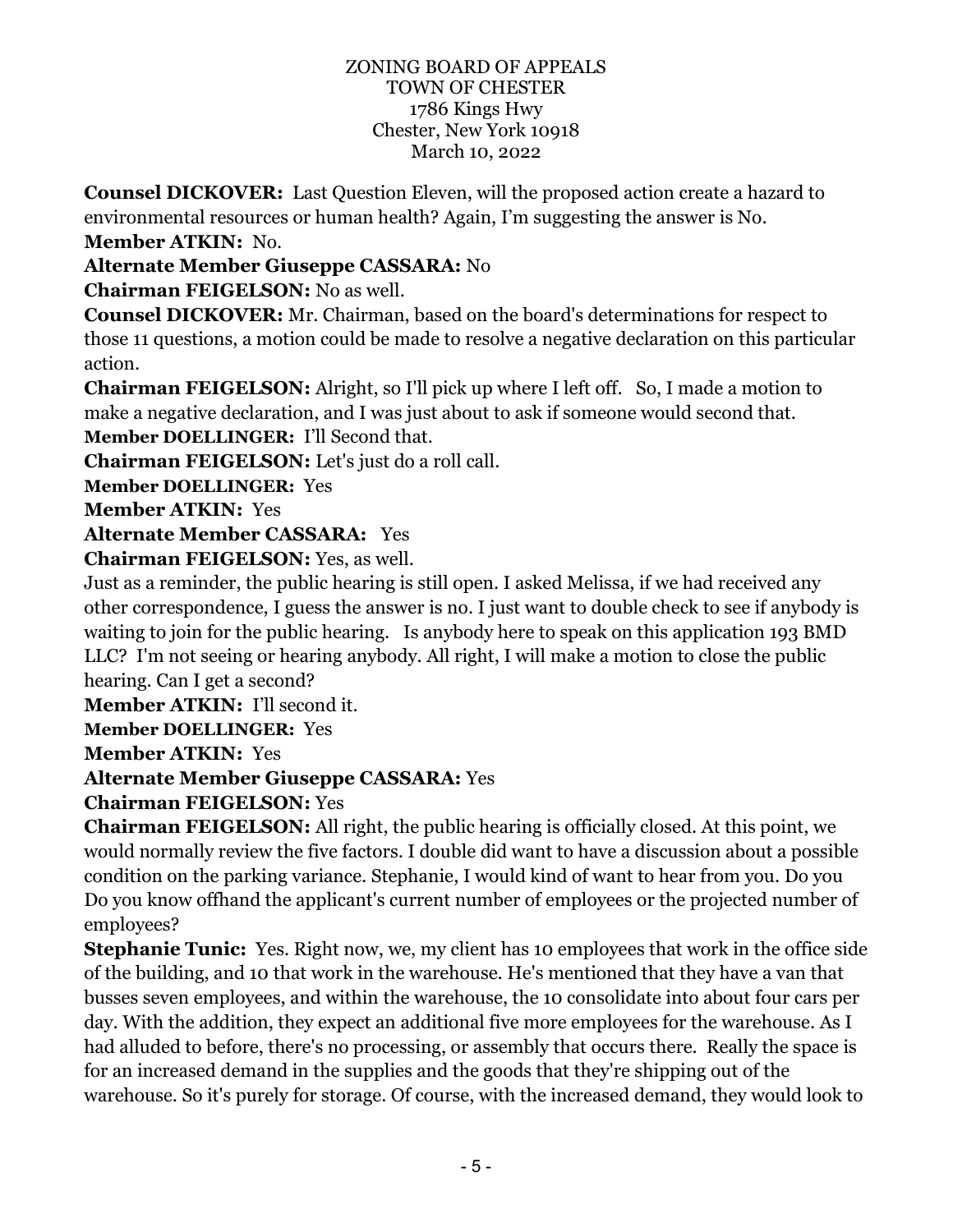**Counsel DICKOVER:** Last Question Eleven, will the proposed action create a hazard to environmental resources or human health? Again, I'm suggesting the answer is No.

# **Member ATKIN:** No.

**Alternate Member Giuseppe CASSARA:** No

**Chairman FEIGELSON:** No as well.

**Counsel DICKOVER:** Mr. Chairman, based on the board's determinations for respect to those 11 questions, a motion could be made to resolve a negative declaration on this particular action.

**Chairman FEIGELSON:** Alright, so I'll pick up where I left off. So, I made a motion to make a negative declaration, and I was just about to ask if someone would second that. **Member DOELLINGER:** I'll Second that.

**Chairman FEIGELSON:** Let's just do a roll call.

**Member DOELLINGER:** Yes

**Member ATKIN:** Yes

**Alternate Member CASSARA:** Yes

**Chairman FEIGELSON:** Yes, as well.

Just as a reminder, the public hearing is still open. I asked Melissa, if we had received any other correspondence, I guess the answer is no. I just want to double check to see if anybody is waiting to join for the public hearing. Is anybody here to speak on this application 193 BMD LLC? I'm not seeing or hearing anybody. All right, I will make a motion to close the public hearing. Can I get a second?

**Member ATKIN:** I'll second it.

**Member DOELLINGER:** Yes

**Member ATKIN:** Yes

# **Alternate Member Giuseppe CASSARA:** Yes

**Chairman FEIGELSON:** Yes

**Chairman FEIGELSON:** All right, the public hearing is officially closed. At this point, we would normally review the five factors. I double did want to have a discussion about a possible condition on the parking variance. Stephanie, I would kind of want to hear from you. Do you Do you know offhand the applicant's current number of employees or the projected number of employees?

**Stephanie Tunic:** Yes. Right now, we, my client has 10 employees that work in the office side of the building, and 10 that work in the warehouse. He's mentioned that they have a van that busses seven employees, and within the warehouse, the 10 consolidate into about four cars per day. With the addition, they expect an additional five more employees for the warehouse. As I had alluded to before, there's no processing, or assembly that occurs there. Really the space is for an increased demand in the supplies and the goods that they're shipping out of the warehouse. So it's purely for storage. Of course, with the increased demand, they would look to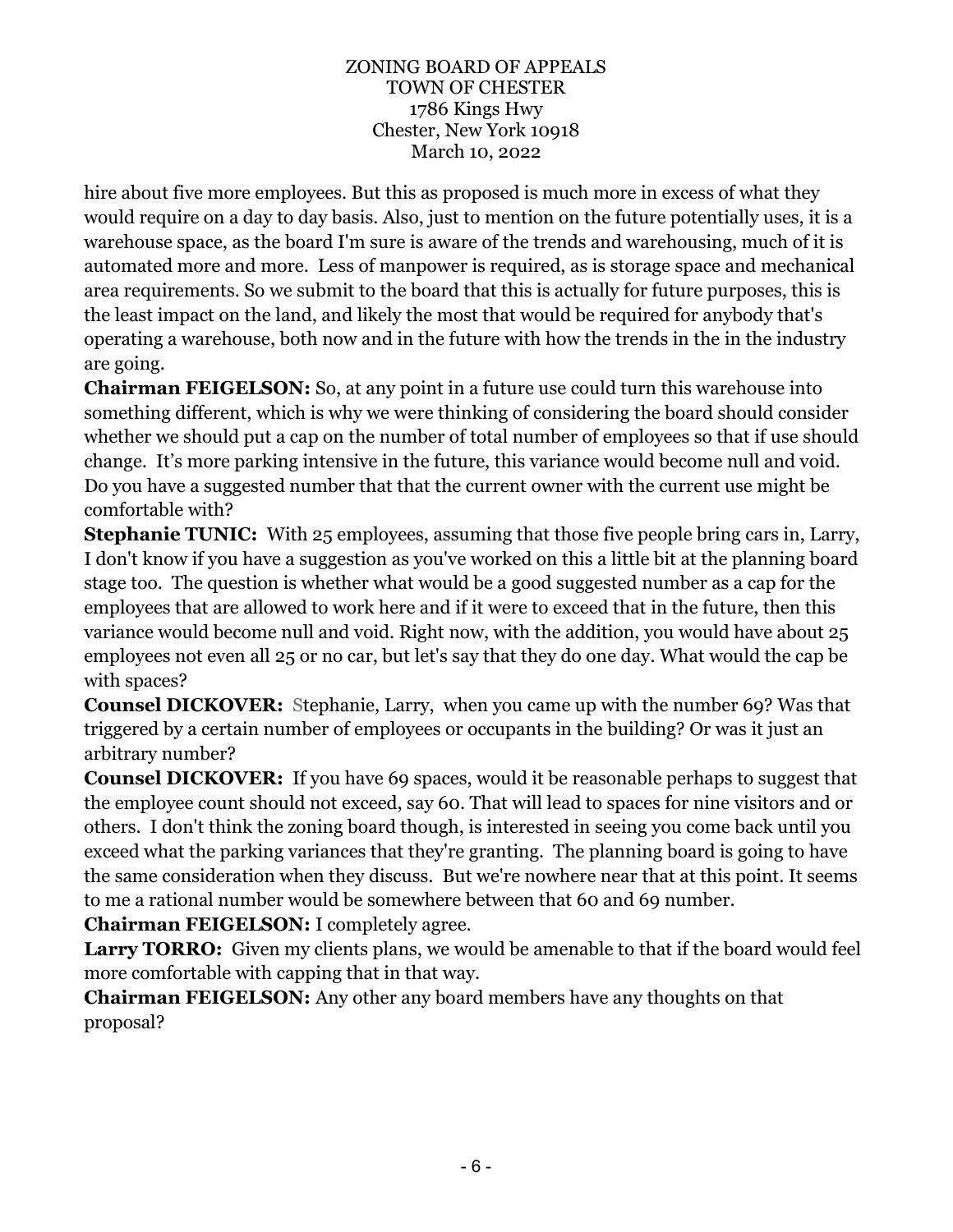hire about five more employees. But this as proposed is much more in excess of what they would require on a day to day basis. Also, just to mention on the future potentially uses, it is a warehouse space, as the board I'm sure is aware of the trends and warehousing, much of it is automated more and more. Less of manpower is required, as is storage space and mechanical area requirements. So we submit to the board that this is actually for future purposes, this is the least impact on the land, and likely the most that would be required for anybody that's operating a warehouse, both now and in the future with how the trends in the in the industry are going.

**Chairman FEIGELSON:** So, at any point in a future use could turn this warehouse into something different, which is why we were thinking of considering the board should consider whether we should put a cap on the number of total number of employees so that if use should change. It's more parking intensive in the future, this variance would become null and void. Do you have a suggested number that that the current owner with the current use might be comfortable with?

**Stephanie TUNIC:** With 25 employees, assuming that those five people bring cars in, Larry, I don't know if you have a suggestion as you've worked on this a little bit at the planning board stage too. The question is whether what would be a good suggested number as a cap for the employees that are allowed to work here and if it were to exceed that in the future, then this variance would become null and void. Right now, with the addition, you would have about 25 employees not even all 25 or no car, but let's say that they do one day. What would the cap be with spaces?

**Counsel DICKOVER:** Stephanie, Larry, when you came up with the number 69? Was that triggered by a certain number of employees or occupants in the building? Or was it just an arbitrary number?

**Counsel DICKOVER:** If you have 69 spaces, would it be reasonable perhaps to suggest that the employee count should not exceed, say 60. That will lead to spaces for nine visitors and or others. I don't think the zoning board though, is interested in seeing you come back until you exceed what the parking variances that they're granting. The planning board is going to have the same consideration when they discuss. But we're nowhere near that at this point. It seems to me a rational number would be somewhere between that 60 and 69 number.

**Chairman FEIGELSON:** I completely agree.

Larry TORRO: Given my clients plans, we would be amenable to that if the board would feel more comfortable with capping that in that way.

**Chairman FEIGELSON:** Any other any board members have any thoughts on that proposal?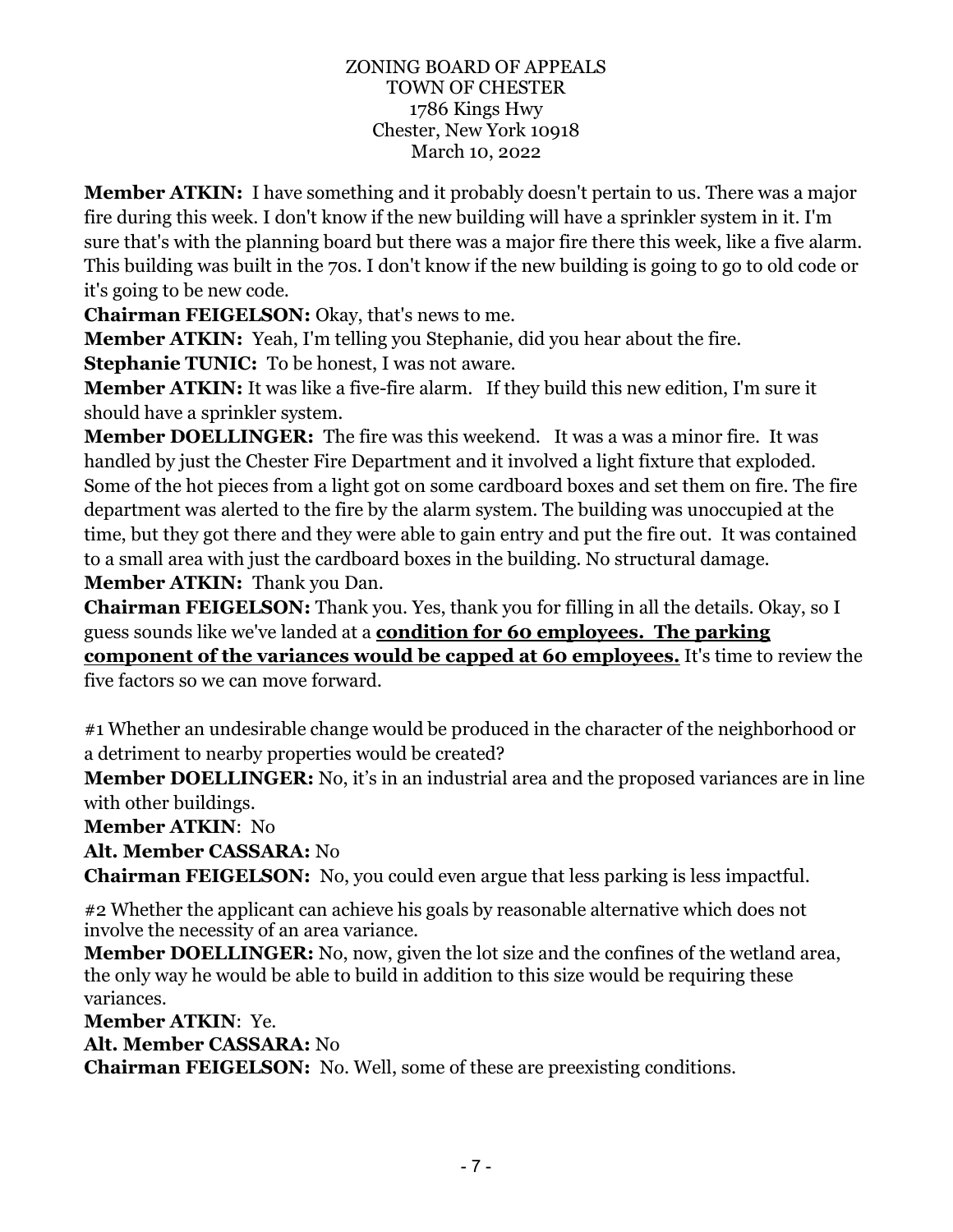**Member ATKIN:** I have something and it probably doesn't pertain to us. There was a major fire during this week. I don't know if the new building will have a sprinkler system in it. I'm sure that's with the planning board but there was a major fire there this week, like a five alarm. This building was built in the 70s. I don't know if the new building is going to go to old code or it's going to be new code.

**Chairman FEIGELSON:** Okay, that's news to me.

**Member ATKIN:** Yeah, I'm telling you Stephanie, did you hear about the fire.

**Stephanie TUNIC:** To be honest, I was not aware.

**Member ATKIN:** It was like a five-fire alarm. If they build this new edition, I'm sure it should have a sprinkler system.

**Member DOELLINGER:** The fire was this weekend. It was a was a minor fire. It was handled by just the Chester Fire Department and it involved a light fixture that exploded. Some of the hot pieces from a light got on some cardboard boxes and set them on fire. The fire department was alerted to the fire by the alarm system. The building was unoccupied at the time, but they got there and they were able to gain entry and put the fire out. It was contained to a small area with just the cardboard boxes in the building. No structural damage. **Member ATKIN:** Thank you Dan.

**Chairman FEIGELSON:** Thank you. Yes, thank you for filling in all the details. Okay, so I guess sounds like we've landed at a **condition for 60 employees. The parking component of the variances would be capped at 60 employees.** It's time to review the five factors so we can move forward.

#1 Whether an undesirable change would be produced in the character of the neighborhood or a detriment to nearby properties would be created?

**Member DOELLINGER:** No, it's in an industrial area and the proposed variances are in line with other buildings.

**Member ATKIN**: No

**Alt. Member CASSARA:** No

**Chairman FEIGELSON:** No, you could even argue that less parking is less impactful.

#2 Whether the applicant can achieve his goals by reasonable alternative which does not involve the necessity of an area variance.

**Member DOELLINGER:** No, now, given the lot size and the confines of the wetland area, the only way he would be able to build in addition to this size would be requiring these variances.

**Member ATKIN**: Ye. **Alt. Member CASSARA:** No **Chairman FEIGELSON:** No. Well, some of these are preexisting conditions.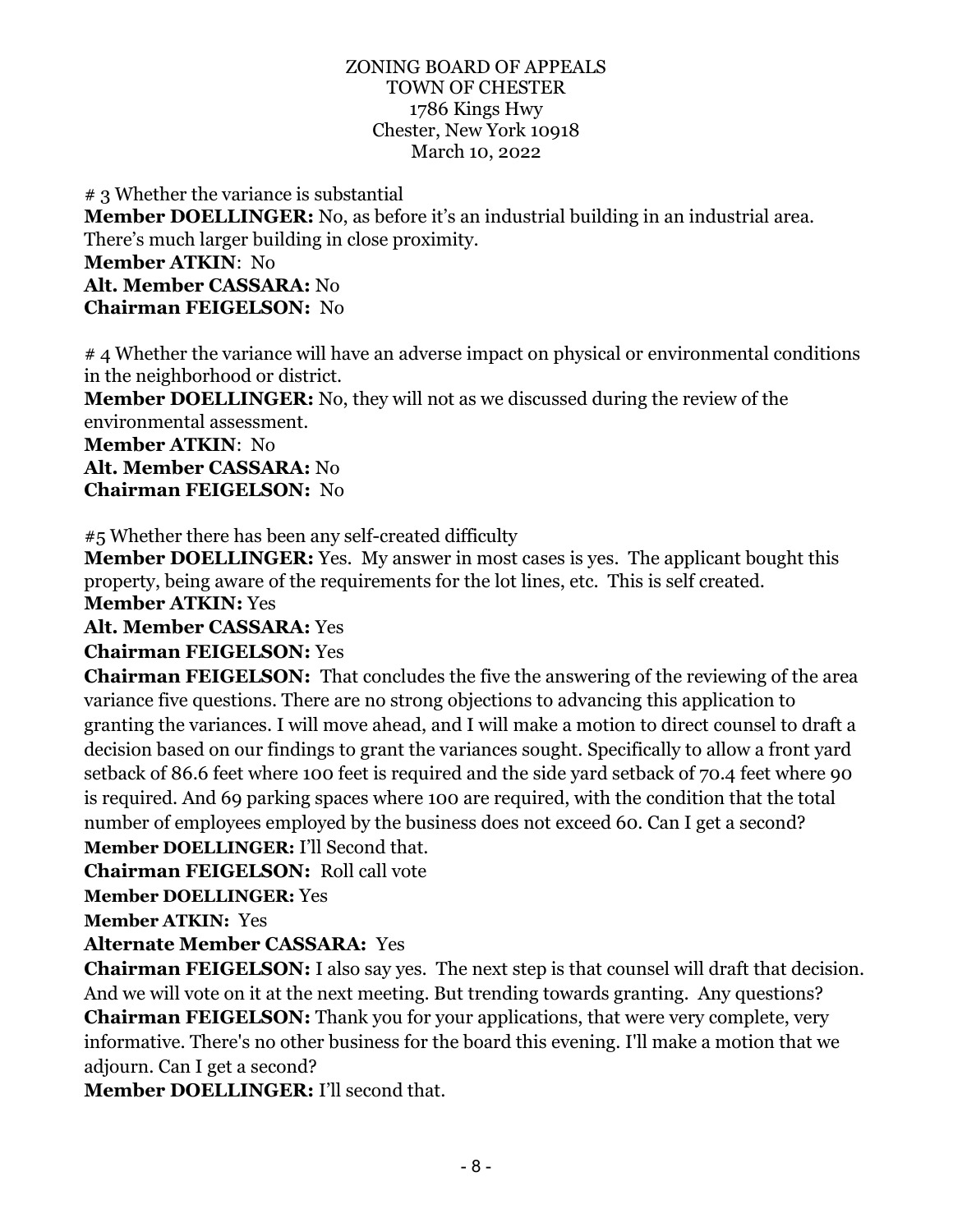# 3 Whether the variance is substantial **Member DOELLINGER:** No, as before it's an industrial building in an industrial area. There's much larger building in close proximity. **Member ATKIN**: No **Alt. Member CASSARA:** No **Chairman FEIGELSON:** No

#4 Whether the variance will have an adverse impact on physical or environmental conditions in the neighborhood or district.

**Member DOELLINGER:** No, they will not as we discussed during the review of the environmental assessment.

**Member ATKIN**: No **Alt. Member CASSARA:** No **Chairman FEIGELSON:** No

#5 Whether there has been any self-created difficulty

**Member DOELLINGER:** Yes. My answer in most cases is yes. The applicant bought this property, being aware of the requirements for the lot lines, etc. This is self created. **Member ATKIN:** Yes

**Alt. Member CASSARA:** Yes

# **Chairman FEIGELSON:** Yes

**Chairman FEIGELSON:** That concludes the five the answering of the reviewing of the area variance five questions. There are no strong objections to advancing this application to granting the variances. I will move ahead, and I will make a motion to direct counsel to draft a decision based on our findings to grant the variances sought. Specifically to allow a front yard setback of 86.6 feet where 100 feet is required and the side yard setback of 70.4 feet where 90 is required. And 69 parking spaces where 100 are required, with the condition that the total number of employees employed by the business does not exceed 60. Can I get a second? **Member DOELLINGER:** I'll Second that.

**Chairman FEIGELSON:** Roll call vote

**Member DOELLINGER:** Yes

**Member ATKIN:** Yes

**Alternate Member CASSARA:** Yes

**Chairman FEIGELSON:** I also say yes. The next step is that counsel will draft that decision. And we will vote on it at the next meeting. But trending towards granting. Any questions? **Chairman FEIGELSON:** Thank you for your applications, that were very complete, very informative. There's no other business for the board this evening. I'll make a motion that we adjourn. Can I get a second?

**Member DOELLINGER:** I'll second that.